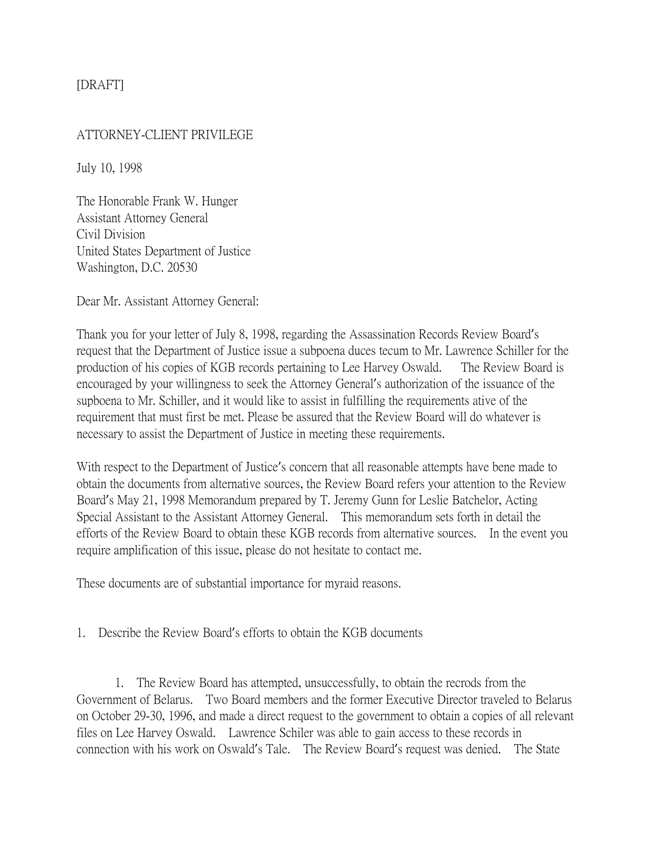## [DRAFT]

## ATTORNEY-CLIENT PRIVILEGE

July 10, 1998

The Honorable Frank W. Hunger Assistant Attorney General Civil Division United States Department of Justice Washington, D.C. 20530

Dear Mr. Assistant Attorney General:

Thank you for your letter of July 8, 1998, regarding the Assassination Records Review Board's request that the Department of Justice issue a subpoena duces tecum to Mr. Lawrence Schiller for the production of his copies of KGB records pertaining to Lee Harvey Oswald. The Review Board is encouraged by your willingness to seek the Attorney General's authorization of the issuance of the supboena to Mr. Schiller, and it would like to assist in fulfilling the requirements ative of the requirement that must first be met. Please be assured that the Review Board will do whatever is necessary to assist the Department of Justice in meeting these requirements.

With respect to the Department of Justice's concern that all reasonable attempts have bene made to obtain the documents from alternative sources, the Review Board refers your attention to the Review Board's May 21, 1998 Memorandum prepared by T. Jeremy Gunn for Leslie Batchelor, Acting Special Assistant to the Assistant Attorney General. This memorandum sets forth in detail the efforts of the Review Board to obtain these KGB records from alternative sources. In the event you require amplification of this issue, please do not hesitate to contact me.

These documents are of substantial importance for myraid reasons.

## 1. Describe the Review Board's efforts to obtain the KGB documents

1. The Review Board has attempted, unsuccessfully, to obtain the recrods from the Government of Belarus. Two Board members and the former Executive Director traveled to Belarus on October 29-30, 1996, and made a direct request to the government to obtain a copies of all relevant files on Lee Harvey Oswald. Lawrence Schiler was able to gain access to these records in connection with his work on Oswald's Tale. The Review Board's request was denied. The State